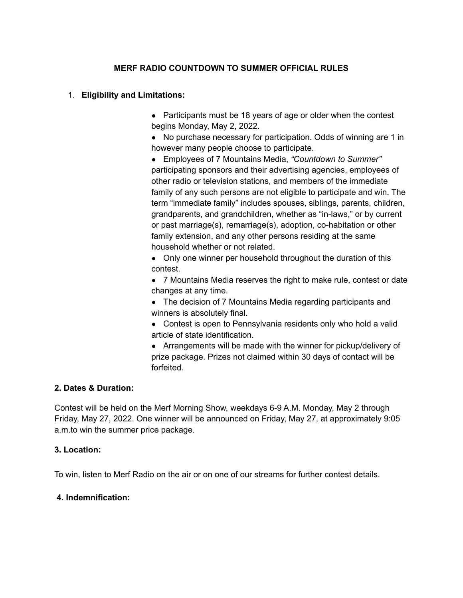## **MERF RADIO COUNTDOWN TO SUMMER OFFICIAL RULES**

#### 1. **Eligibility and Limitations:**

• Participants must be 18 years of age or older when the contest begins Monday, May 2, 2022.

• No purchase necessary for participation. Odds of winning are 1 in however many people choose to participate.

● Employees of 7 Mountains Media, *"Countdown to Summer"* participating sponsors and their advertising agencies, employees of other radio or television stations, and members of the immediate family of any such persons are not eligible to participate and win. The term "immediate family" includes spouses, siblings, parents, children, grandparents, and grandchildren, whether as "in-laws," or by current or past marriage(s), remarriage(s), adoption, co-habitation or other family extension, and any other persons residing at the same household whether or not related.

• Only one winner per household throughout the duration of this contest.

● 7 Mountains Media reserves the right to make rule, contest or date changes at any time.

• The decision of 7 Mountains Media regarding participants and winners is absolutely final.

• Contest is open to Pennsylvania residents only who hold a valid article of state identification.

• Arrangements will be made with the winner for pickup/delivery of prize package. Prizes not claimed within 30 days of contact will be forfeited.

#### **2. Dates & Duration:**

Contest will be held on the Merf Morning Show, weekdays 6-9 A.M. Monday, May 2 through Friday, May 27, 2022. One winner will be announced on Friday, May 27, at approximately 9:05 a.m.to win the summer price package.

#### **3. Location:**

To win, listen to Merf Radio on the air or on one of our streams for further contest details.

#### **4. Indemnification:**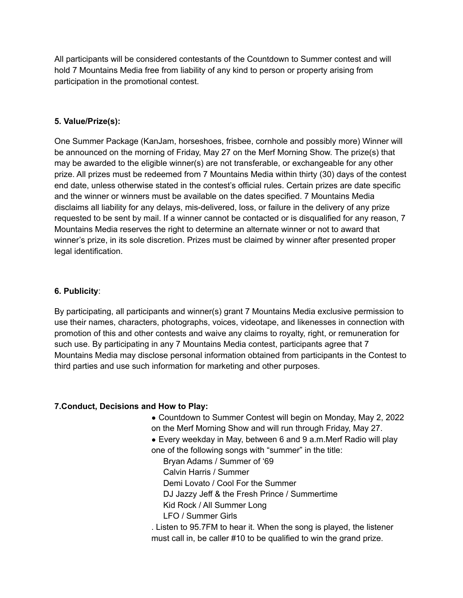All participants will be considered contestants of the Countdown to Summer contest and will hold 7 Mountains Media free from liability of any kind to person or property arising from participation in the promotional contest.

# **5. Value/Prize(s):**

One Summer Package (KanJam, horseshoes, frisbee, cornhole and possibly more) Winner will be announced on the morning of Friday, May 27 on the Merf Morning Show. The prize(s) that may be awarded to the eligible winner(s) are not transferable, or exchangeable for any other prize. All prizes must be redeemed from 7 Mountains Media within thirty (30) days of the contest end date, unless otherwise stated in the contest's official rules. Certain prizes are date specific and the winner or winners must be available on the dates specified. 7 Mountains Media disclaims all liability for any delays, mis-delivered, loss, or failure in the delivery of any prize requested to be sent by mail. If a winner cannot be contacted or is disqualified for any reason, 7 Mountains Media reserves the right to determine an alternate winner or not to award that winner's prize, in its sole discretion. Prizes must be claimed by winner after presented proper legal identification.

## **6. Publicity**:

By participating, all participants and winner(s) grant 7 Mountains Media exclusive permission to use their names, characters, photographs, voices, videotape, and likenesses in connection with promotion of this and other contests and waive any claims to royalty, right, or remuneration for such use. By participating in any 7 Mountains Media contest, participants agree that 7 Mountains Media may disclose personal information obtained from participants in the Contest to third parties and use such information for marketing and other purposes.

## **7.Conduct, Decisions and How to Play:**

- Countdown to Summer Contest will begin on Monday, May 2, 2022 on the Merf Morning Show and will run through Friday, May 27.
- Every weekday in May, between 6 and 9 a.m. Merf Radio will play one of the following songs with "summer" in the title:
	- Bryan Adams / Summer of '69
	- Calvin Harris / Summer
	- Demi Lovato / Cool For the Summer
	- DJ Jazzy Jeff & the Fresh Prince / Summertime
	- Kid Rock / All Summer Long
	- LFO / Summer Girls
- . Listen to 95.7FM to hear it. When the song is played, the listener must call in, be caller #10 to be qualified to win the grand prize.